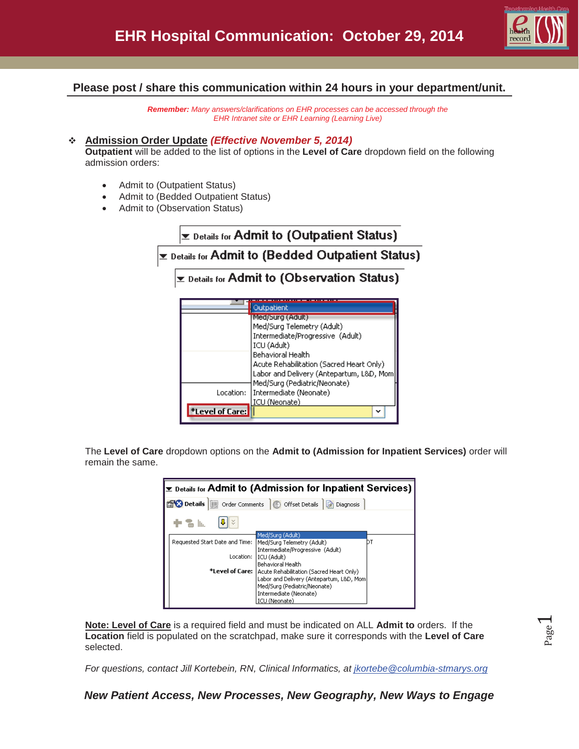

## **Please post / share this communication within 24 hours in your department/unit.**

*Remember: Many answers/clarifications on EHR processes can be accessed through the EHR Intranet site or EHR Learning (Learning Live)* 

#### **Admission Order Update** *(Effective November 5, 2014)*

\*Level of Care:

**Outpatient** will be added to the list of options in the **Level of Care** dropdown field on the following admission orders:

- Admit to (Outpatient Status)
- Admit to (Bedded Outpatient Status)
- Admit to (Observation Status)

|                                                    | $\mathbf{\Sigma}$ Details for Admit to (Outpatient Status) |                                                               |  |  |  |  |  |
|----------------------------------------------------|------------------------------------------------------------|---------------------------------------------------------------|--|--|--|--|--|
| lप Details for Admit to (Bedded Outpatient Status) |                                                            |                                                               |  |  |  |  |  |
|                                                    |                                                            | ▼ Details for Admit to (Observation Status)                   |  |  |  |  |  |
|                                                    |                                                            |                                                               |  |  |  |  |  |
|                                                    |                                                            | Outpatient<br>Med/Surg (Adult)                                |  |  |  |  |  |
|                                                    |                                                            | Med/Surg Telemetry (Adult)                                    |  |  |  |  |  |
|                                                    |                                                            | Intermediate/Progressive (Adult)                              |  |  |  |  |  |
|                                                    |                                                            | ICU (Adult)                                                   |  |  |  |  |  |
|                                                    |                                                            | Behavioral Health<br>Acute Rehabilitation (Sacred Heart Only) |  |  |  |  |  |
|                                                    |                                                            | Labor and Delivery (Antepartum, L&D, Mom                      |  |  |  |  |  |
|                                                    |                                                            | Med/Surg (Pediatric/Neonate)                                  |  |  |  |  |  |
|                                                    | Location:                                                  | Intermediate (Neonate)<br><b>ICU (Neonate)</b>                |  |  |  |  |  |

The **Level of Care** dropdown options on the **Admit to (Admission for Inpatient Services)** order will remain the same.

| $\Sigma$ Details for Admit to (Admission for Inpatient Services)                                 |                                                            |  |  |  |  |  |  |  |
|--------------------------------------------------------------------------------------------------|------------------------------------------------------------|--|--|--|--|--|--|--|
| <b>Party Details</b>   <b>in</b> Order Comments   <b>in Offset Details</b>   <b>in</b> Diagnosis |                                                            |  |  |  |  |  |  |  |
| in In                                                                                            |                                                            |  |  |  |  |  |  |  |
|                                                                                                  | Med/Surg (Adult)                                           |  |  |  |  |  |  |  |
| Requested Start Date and Time:                                                                   | Med/Surg Telemetry (Adult)                                 |  |  |  |  |  |  |  |
|                                                                                                  | Intermediate/Progressive (Adult)                           |  |  |  |  |  |  |  |
| Location:                                                                                        | I ICU (Adult)                                              |  |  |  |  |  |  |  |
|                                                                                                  | <b>Behavioral Health</b>                                   |  |  |  |  |  |  |  |
|                                                                                                  | *Level of Care:   Acute Rehabilitation (Sacred Heart Only) |  |  |  |  |  |  |  |
|                                                                                                  | Labor and Delivery (Antepartum, L&D, Mom)                  |  |  |  |  |  |  |  |
|                                                                                                  | Med/Surg (Pediatric/Neonate)                               |  |  |  |  |  |  |  |
|                                                                                                  | Intermediate (Neonate)                                     |  |  |  |  |  |  |  |
|                                                                                                  | ICU (Neonate)                                              |  |  |  |  |  |  |  |

**Note: Level of Care** is a required field and must be indicated on ALL **Admit to** orders. If the **Location** field is populated on the scratchpad, make sure it corresponds with the **Level of Care** selected.

*For questions, contact Jill Kortebein, RN, Clinical Informatics, at jkortebe@columbia-stmarys.org* 

*New Patient Access, New Processes, New Geography, New Ways to Engage*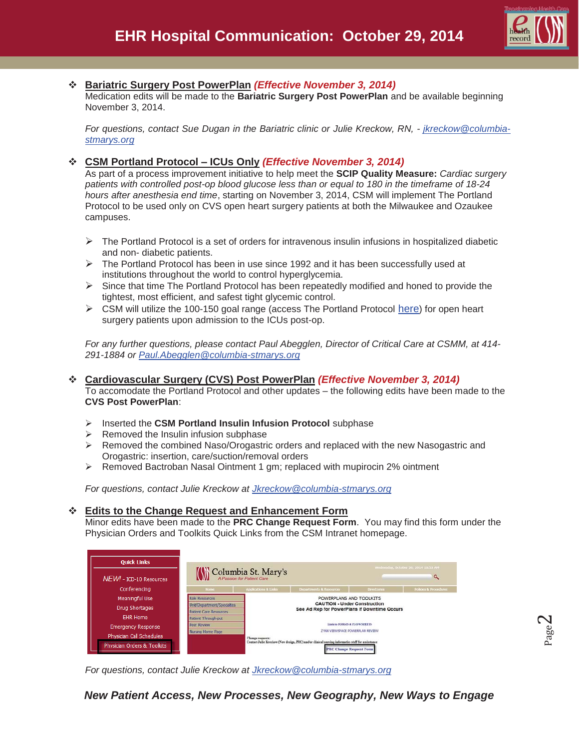

## **Bariatric Surgery Post PowerPlan** *(Effective November 3, 2014)*

Medication edits will be made to the **Bariatric Surgery Post PowerPlan** and be available beginning November 3, 2014.

*For questions, contact Sue Dugan in the Bariatric clinic or Julie Kreckow, RN, - jkreckow@columbiastmarys.org*

## **CSM Portland Protocol – ICUs Only** *(Effective November 3, 2014)*

As part of a process improvement initiative to help meet the **SCIP Quality Measure:** *Cardiac surgery patients with controlled post-op blood glucose less than or equal to 180 in the timeframe of 18-24 hours after anesthesia end time*, starting on November 3, 2014, CSM will implement The Portland Protocol to be used only on CVS open heart surgery patients at both the Milwaukee and Ozaukee campuses.

- $\triangleright$  The Portland Protocol is a set of orders for intravenous insulin infusions in hospitalized diabetic and non- diabetic patients.
- $\triangleright$  The Portland Protocol has been in use since 1992 and it has been successfully used at institutions throughout the world to control hyperglycemia.
- $\triangleright$  Since that time The Portland Protocol has been repeatedly modified and honed to provide the tightest, most efficient, and safest tight glycemic control.
- $\triangleright$  CSM will utilize the 100-150 goal range (access The Portland Protocol here) for open heart surgery patients upon admission to the ICUs post-op.

*For any further questions, please contact Paul Abegglen, Director of Critical Care at CSMM, at 414- 291-1884 or Paul.Abegglen@columbia-stmarys.org*

# **Cardiovascular Surgery (CVS) Post PowerPlan** *(Effective November 3, 2014)*

To accomodate the Portland Protocol and other updates – the following edits have been made to the **CVS Post PowerPlan**:

- ¾ Inserted the **CSM Portland Insulin Infusion Protocol** subphase
- $\triangleright$  Removed the Insulin infusion subphase
- $\triangleright$  Removed the combined Naso/Orogastric orders and replaced with the new Nasogastric and Orogastric: insertion, care/suction/removal orders
- $\triangleright$  Removed Bactroban Nasal Ointment 1 gm; replaced with mupirocin 2% ointment

*For questions, contact Julie Kreckow at Jkreckow@columbia-stmarys.org*

## **Edits to the Change Request and Enhancement Form**

Minor edits have been made to the **PRC Change Request Form**. You may find this form under the Physician Orders and Toolkits Quick Links from the CSM Intranet homepage.

| <b>Ouick Links</b>                                      |                               |                                 |                                                                                                                                     |                    | Wednesday, October 29, 2014 10:53 AM |  |
|---------------------------------------------------------|-------------------------------|---------------------------------|-------------------------------------------------------------------------------------------------------------------------------------|--------------------|--------------------------------------|--|
| NEW! - ICD-10 Resources                                 |                               | Columbia St. Mary's             |                                                                                                                                     |                    | a                                    |  |
| Conferencing                                            | <b>Home</b>                   | <b>Applications &amp; Links</b> | Departments & Resources                                                                                                             | <b>Directories</b> | <b>Policies &amp; Procedures</b>     |  |
| <b>Meaningful Use</b>                                   | <b>Role Resources</b>         | POWERPLANS AND TOOLKITS         |                                                                                                                                     |                    |                                      |  |
| Drug Shortages                                          | Unit/Department/Specialties   |                                 | <b>CAUTION - Under Construction</b><br>See Ad Rep for PowerPlans if Downtime Occurs                                                 |                    |                                      |  |
|                                                         | <b>Patient Care Resources</b> |                                 |                                                                                                                                     |                    |                                      |  |
| FHR Home                                                | Patient Through-put           |                                 |                                                                                                                                     |                    |                                      |  |
| <b>Emergency Response</b>                               | Peer Review.                  |                                 | Link to FORMS & FLOWSHITTS                                                                                                          |                    |                                      |  |
|                                                         | Nursing Home Page             | ZYNX VIEWSPACE POWERPLAN REVIEW |                                                                                                                                     |                    |                                      |  |
| Physician Call Schedules<br>Physician Orders & Toolkits |                               | Change requests:                | Contact Julie Kreckow (New design, PRC) and/or clinical nursing informatics staff for assisstance<br><b>PRC Change Request Form</b> |                    |                                      |  |

*For questions, contact Julie Kreckow at Jkreckow@columbia-stmarys.org*

*New Patient Access, New Processes, New Geography, New Ways to Engage*